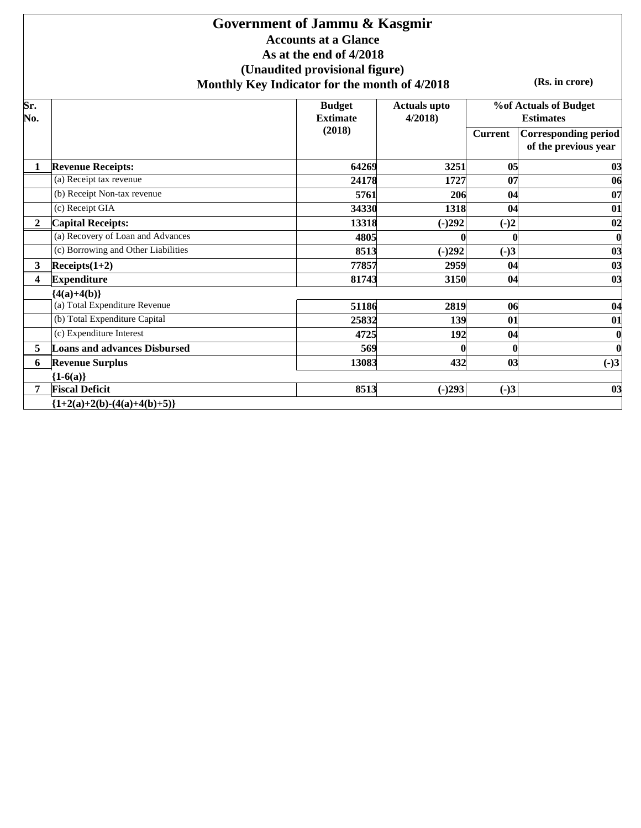### **Government of Jammu & Kasgmir Accounts at a Glance As at the end of 4/2018 (Unaudited provisional figure) Monthly Key Indicator for the month of 4/2018**

**(Rs. in crore)**

| Sr.<br>No.   |                                     | <b>Budget</b><br><b>Extimate</b> | <b>Actuals upto</b><br>4/2018 |                         | <b>%of Actuals of Budget</b><br><b>Estimates</b>    |
|--------------|-------------------------------------|----------------------------------|-------------------------------|-------------------------|-----------------------------------------------------|
|              |                                     | (2018)                           |                               | <b>Current</b>          | <b>Corresponding period</b><br>of the previous year |
|              | <b>Revenue Receipts:</b>            | 64269                            | 3251                          | 05                      | 03                                                  |
|              | (a) Receipt tax revenue             | 24178                            | 1727                          | 07                      | 06                                                  |
|              | (b) Receipt Non-tax revenue         | 5761                             | 206                           | 04                      | 07                                                  |
|              | (c) Receipt GIA                     | 34330                            | 1318                          | 04                      | 01                                                  |
| $\mathbf{2}$ | <b>Capital Receipts:</b>            | 13318                            | $(-)292$                      | $(-)2$                  | 02                                                  |
|              | (a) Recovery of Loan and Advances   | 4805                             |                               |                         | $\boldsymbol{0}$                                    |
|              | (c) Borrowing and Other Liabilities | 8513                             | $(-)292$                      | $(-)3$                  | 03                                                  |
| $\mathbf{3}$ | $Receipts(1+2)$                     | 77857                            | 2959                          | 04                      | 03                                                  |
| 4            | <b>Expenditure</b>                  | 81743                            | 3150                          | 04                      | 03                                                  |
|              | ${4(a)+4(b)}$                       |                                  |                               |                         |                                                     |
|              | (a) Total Expenditure Revenue       | 51186                            | 2819                          | 06                      | 04                                                  |
|              | (b) Total Expenditure Capital       | 25832                            | 139                           | 01                      | 01                                                  |
|              | (c) Expenditure Interest            | 4725                             | 192                           | 04                      | $\boldsymbol{0}$                                    |
| 5            | <b>Loans and advances Disbursed</b> | 569                              |                               |                         | $\bf{0}$                                            |
| 6            | <b>Revenue Surplus</b>              | 13083                            | 432                           | $\overline{\mathbf{0}}$ | $(-)3$                                              |
|              | ${1-6(a)}$                          |                                  |                               |                         |                                                     |
| 7            | <b>Fiscal Deficit</b>               | 8513                             | $(-)293$                      | $(-)3$                  | 03                                                  |
|              | ${1+2(a)+2(b)-(4(a)+4(b)+5)}$       |                                  |                               |                         |                                                     |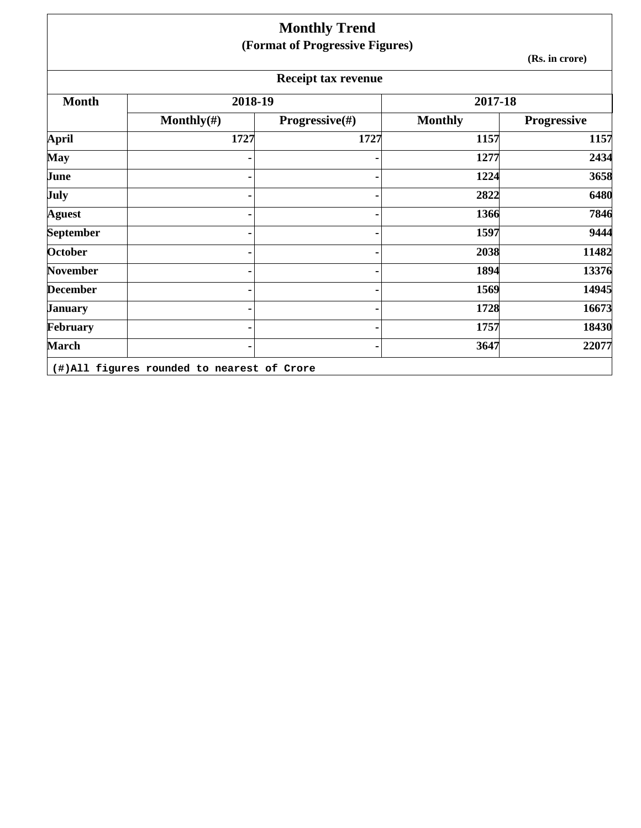|                  |                | <b>Monthly Trend</b>            |                |                |
|------------------|----------------|---------------------------------|----------------|----------------|
|                  |                | (Format of Progressive Figures) |                |                |
|                  |                |                                 |                | (Rs. in crore) |
|                  |                | <b>Receipt tax revenue</b>      |                |                |
| <b>Month</b>     | 2018-19        |                                 | 2017-18        |                |
|                  | Monthly $(\#)$ | Progressive(#)                  | <b>Monthly</b> | Progressive    |
| <b>April</b>     | 1727           | 1727                            | 1157           | 1157           |
| <b>May</b>       |                |                                 | 1277           | 2434           |
| June             |                |                                 | 1224           | 3658           |
| July             |                |                                 | 2822           | 6480           |
| <b>Aguest</b>    |                |                                 | 1366           | 7846           |
| <b>September</b> |                |                                 | 1597           | 9444           |
| <b>October</b>   |                |                                 | 2038           | 11482          |
| <b>November</b>  |                |                                 | 1894           | 13376          |
| <b>December</b>  |                |                                 | 1569           | 14945          |
| <b>January</b>   |                |                                 | 1728           | 16673          |
| February         |                |                                 | 1757           | 18430          |
| <b>March</b>     |                |                                 | 3647           | 22077          |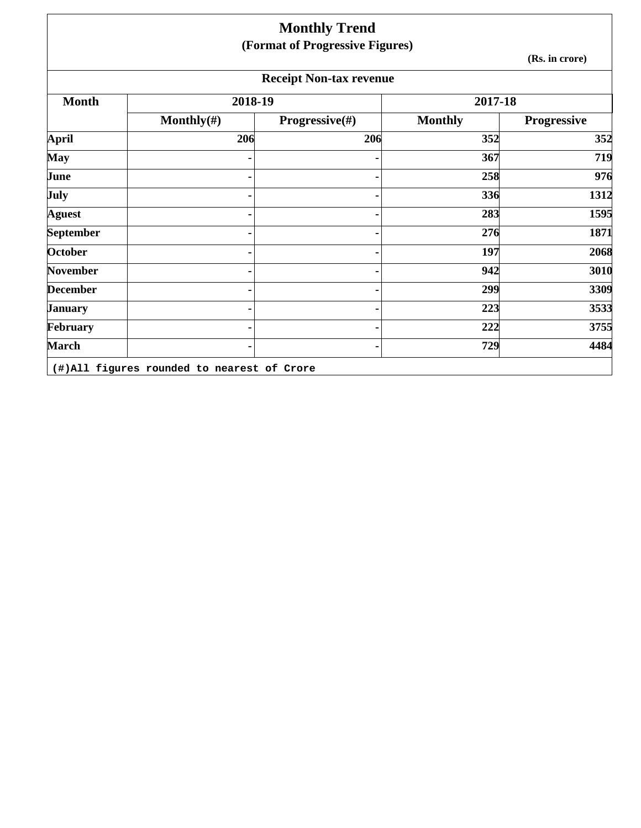|                 |                | <b>Monthly Trend</b>            |                |                    |
|-----------------|----------------|---------------------------------|----------------|--------------------|
|                 |                | (Format of Progressive Figures) |                | (Rs. in crore)     |
|                 |                | <b>Receipt Non-tax revenue</b>  |                |                    |
| <b>Month</b>    | 2018-19        |                                 | 2017-18        |                    |
|                 | Monthly $(\#)$ | <b>Progressive</b> $(\#)$       | <b>Monthly</b> | <b>Progressive</b> |
| <b>April</b>    | 206            | 206                             | 352            | 352                |
| <b>May</b>      |                |                                 | 367            | 719                |
| June            |                |                                 | 258            | 976                |
| July            |                |                                 | 336            | 1312               |
| <b>Aguest</b>   |                |                                 | 283            | 1595               |
| September       |                |                                 | 276            | 1871               |
| <b>October</b>  |                |                                 | 197            | 2068               |
| <b>November</b> |                |                                 | 942            | 3010               |
| <b>December</b> |                |                                 | 299            | 3309               |
| <b>January</b>  |                |                                 | 223            | 3533               |
| February        |                |                                 | 222            | 3755               |
| <b>March</b>    |                |                                 | 729            | 4484               |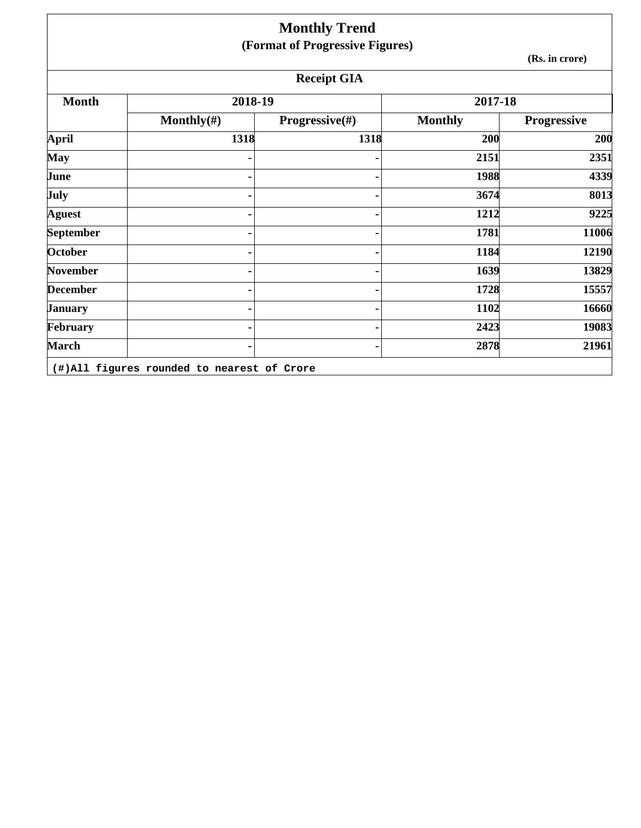|                 |                | <b>Monthly Trend</b>            |                |                    |
|-----------------|----------------|---------------------------------|----------------|--------------------|
|                 |                | (Format of Progressive Figures) |                |                    |
|                 |                |                                 |                | (Rs. in crore)     |
|                 |                | <b>Receipt GIA</b>              |                |                    |
| <b>Month</b>    | 2018-19        |                                 | 2017-18        |                    |
|                 | Monthly $(\#)$ | Progressive(#)                  | <b>Monthly</b> | <b>Progressive</b> |
| <b>April</b>    | 1318           | 1318                            | 200            | 200                |
| <b>May</b>      |                |                                 | 2151           | 2351               |
| June            |                |                                 | 1988           | 4339               |
| <b>July</b>     |                |                                 | 3674           | 8013               |
| <b>Aguest</b>   |                |                                 | 1212           | 9225               |
| September       |                |                                 | 1781           | 11006              |
| October         |                |                                 | 1184           | 12190              |
| <b>November</b> |                |                                 | 1639           | 13829              |
| <b>December</b> |                |                                 | 1728           | 15557              |
| <b>January</b>  |                |                                 | 1102           | 16660              |
| February        |                |                                 | 2423           | 19083              |
| <b>March</b>    |                |                                 | 2878           | 21961              |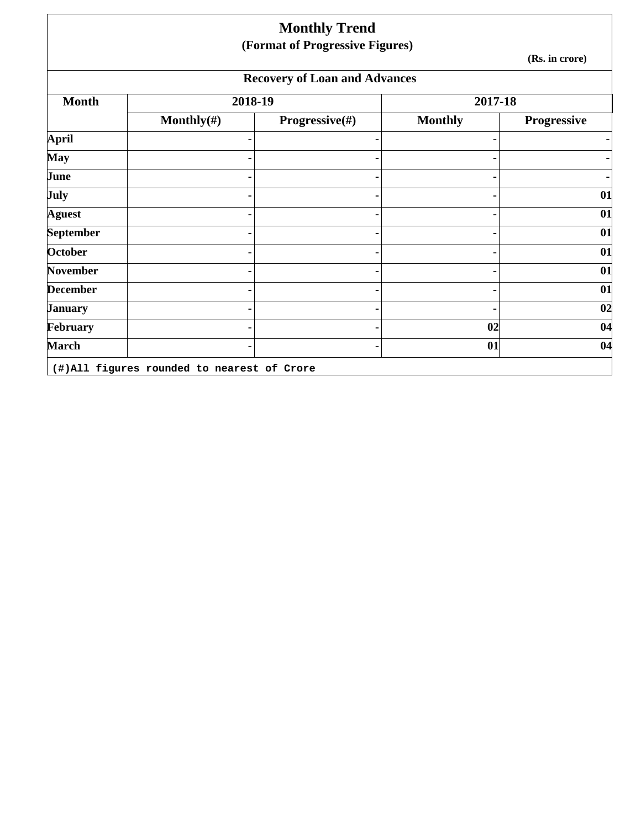|                 |                | <b>Monthly Trend</b><br>(Format of Progressive Figures) |                |                    |
|-----------------|----------------|---------------------------------------------------------|----------------|--------------------|
|                 |                |                                                         |                | (Rs. in crore)     |
|                 |                | <b>Recovery of Loan and Advances</b>                    |                |                    |
| <b>Month</b>    | 2018-19        |                                                         | 2017-18        |                    |
|                 | Monthly $(\#)$ | Progressive(#)                                          | <b>Monthly</b> | <b>Progressive</b> |
| April           |                |                                                         |                |                    |
| <b>May</b>      |                |                                                         |                |                    |
| June            |                |                                                         |                |                    |
| July            |                |                                                         |                | 01                 |
| <b>Aguest</b>   |                |                                                         |                | 01                 |
| September       |                |                                                         |                | 01                 |
| October         |                |                                                         |                | 01                 |
| <b>November</b> |                |                                                         |                | 01                 |
| <b>December</b> |                |                                                         |                | 01                 |
| <b>January</b>  |                |                                                         |                | 02                 |
| February        |                |                                                         | 02             | 04                 |
| March           |                |                                                         | 01             | 04                 |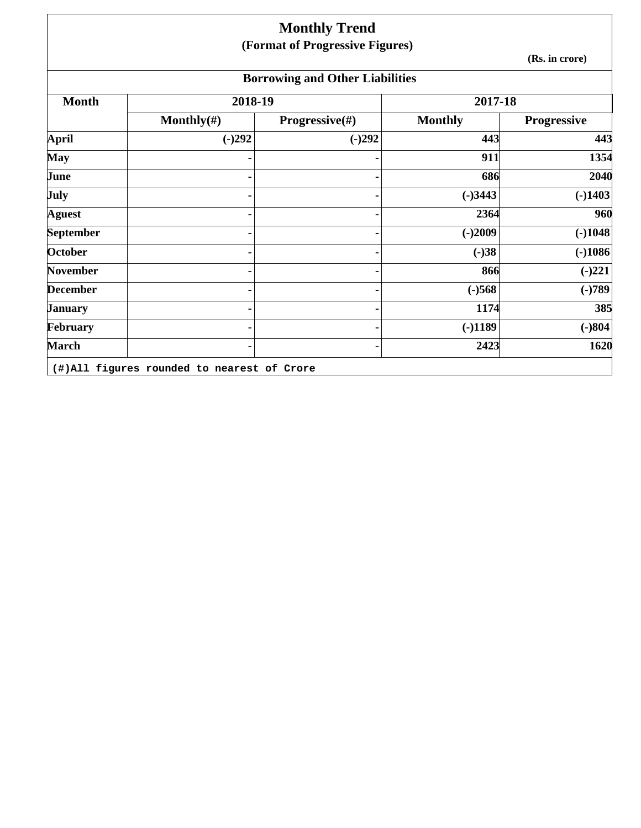## **Monthly Trend (Format of Progressive Figures)**

**(Rs. in crore)**

# **Borrowing and Other Liabilities**

| <b>Month</b>     | 2018-19        |                | 2017-18        |                    |
|------------------|----------------|----------------|----------------|--------------------|
|                  | Monthly $(\#)$ | Progressive(#) | <b>Monthly</b> | <b>Progressive</b> |
| April            | $(-)292$       | $(-)292$       | 443            | 443                |
| <b>May</b>       |                |                | 911            | 1354               |
| June             |                |                | 686            | 2040               |
| <b>July</b>      |                |                | $(-)3443$      | $(-)1403$          |
| <b>Aguest</b>    |                |                | 2364           | 960                |
| <b>September</b> |                |                | $(-)2009$      | $(-)1048$          |
| <b>October</b>   |                |                | $(-)38$        | $(-)1086$          |
| <b>November</b>  |                | ٠              | 866            | $(-)221$           |
| <b>December</b>  |                |                | $(-)568$       | $(-)789$           |
| <b>January</b>   |                |                | 1174           | 385                |
| February         |                |                | $(-)1189$      | $(-)804$           |
| <b>March</b>     |                |                | 2423           | 1620               |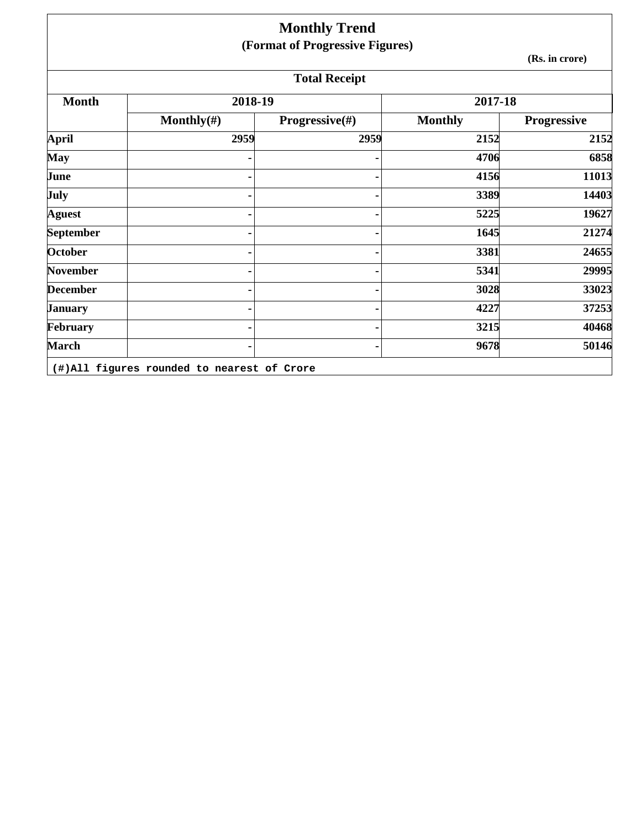|                  |                | <b>Monthly Trend</b>            |                |                |
|------------------|----------------|---------------------------------|----------------|----------------|
|                  |                | (Format of Progressive Figures) |                |                |
|                  |                |                                 |                | (Rs. in crore) |
|                  |                | <b>Total Receipt</b>            |                |                |
| <b>Month</b>     | 2018-19        |                                 | 2017-18        |                |
|                  | Monthly $(\#)$ | <b>Progressive</b> $(\#)$       | <b>Monthly</b> | Progressive    |
| <b>April</b>     | 2959           | 2959                            | 2152           | 2152           |
| <b>May</b>       |                |                                 | 4706           | 6858           |
| June             |                |                                 | 4156           | 11013          |
| July             |                |                                 | 3389           | 14403          |
| <b>Aguest</b>    |                |                                 | 5225           | 19627          |
| <b>September</b> |                |                                 | 1645           | 21274          |
| <b>October</b>   |                |                                 | 3381           | 24655          |
| <b>November</b>  |                |                                 | 5341           | 29995          |
| <b>December</b>  |                |                                 | 3028           | 33023          |
| <b>January</b>   |                |                                 | 4227           | 37253          |
| February         |                |                                 | 3215           | 40468          |
| <b>March</b>     |                |                                 | 9678           | 50146          |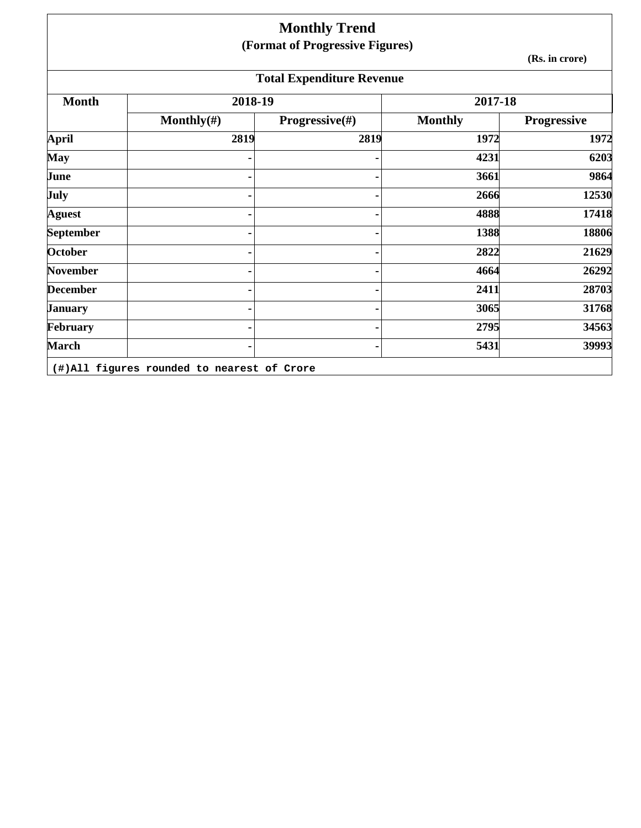|                 |                | <b>Monthly Trend</b>             |                |                |
|-----------------|----------------|----------------------------------|----------------|----------------|
|                 |                | (Format of Progressive Figures)  |                | (Rs. in crore) |
|                 |                | <b>Total Expenditure Revenue</b> |                |                |
| <b>Month</b>    | 2018-19        |                                  | 2017-18        |                |
|                 | Monthly $(\#)$ | <b>Progressive</b> $(\#)$        | <b>Monthly</b> | Progressive    |
| <b>April</b>    | 2819           | 2819                             | 1972           | 1972           |
| <b>May</b>      |                |                                  | 4231           | 6203           |
| June            |                |                                  | 3661           | 9864           |
| July            |                |                                  | 2666           | 12530          |
| <b>Aguest</b>   |                |                                  | 4888           | 17418          |
| September       |                |                                  | 1388           | 18806          |
| October         |                |                                  | 2822           | 21629          |
| <b>November</b> |                |                                  | 4664           | 26292          |
| <b>December</b> |                |                                  | 2411           | 28703          |
| <b>January</b>  |                |                                  | 3065           | 31768          |
| February        |                |                                  | 2795           | 34563          |
| <b>March</b>    |                |                                  | 5431           | 39993          |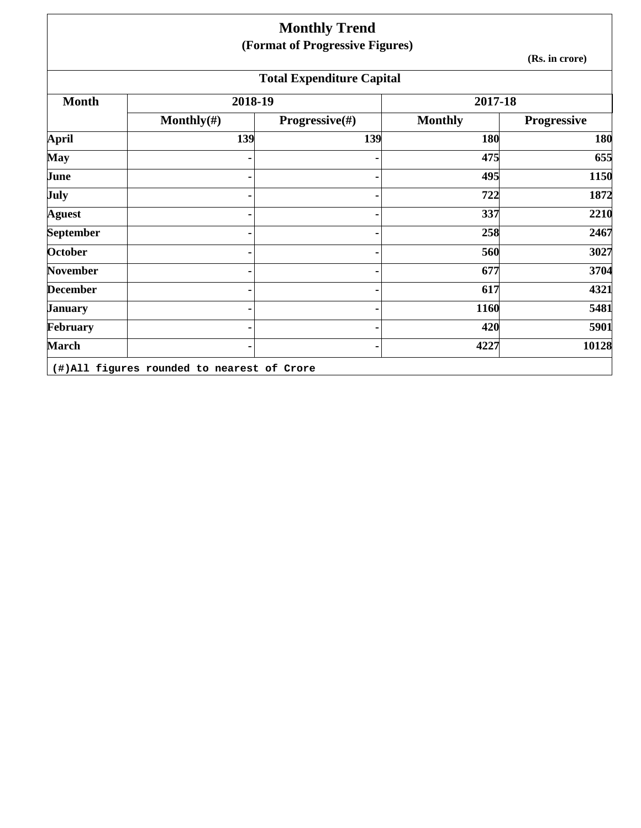|                  |                | <b>Monthly Trend</b>             |                |                |
|------------------|----------------|----------------------------------|----------------|----------------|
|                  |                | (Format of Progressive Figures)  |                | (Rs. in crore) |
|                  |                | <b>Total Expenditure Capital</b> |                |                |
| <b>Month</b>     | 2018-19        |                                  | 2017-18        |                |
|                  | Monthly $(\#)$ | Progressive(#)                   | <b>Monthly</b> | Progressive    |
| <b>April</b>     | 139            | 139                              | 180            | 180            |
| <b>May</b>       |                |                                  | 475            | 655            |
| June             |                |                                  | 495            | 1150           |
| July             |                |                                  | 722            | 1872           |
| <b>Aguest</b>    |                |                                  | 337            | 2210           |
| <b>September</b> |                |                                  | 258            | 2467           |
| <b>October</b>   |                |                                  | 560            | 3027           |
| <b>November</b>  |                |                                  | 677            | 3704           |
| <b>December</b>  |                |                                  | 617            | 4321           |
| <b>January</b>   |                |                                  | 1160           | 5481           |
| February         |                |                                  | 420            | 5901           |
| <b>March</b>     |                |                                  | 4227           | 10128          |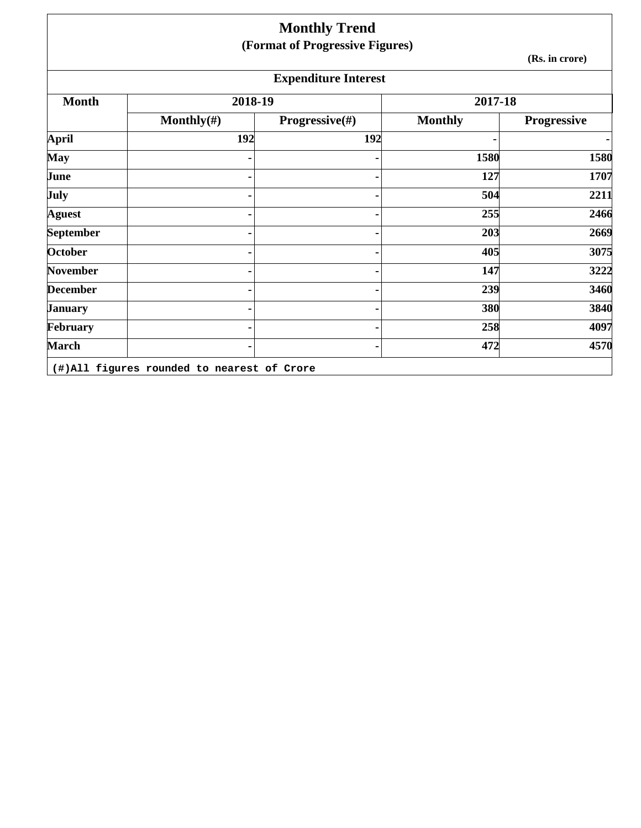|                  |                | <b>Monthly Trend</b>            |                |                    |
|------------------|----------------|---------------------------------|----------------|--------------------|
|                  |                | (Format of Progressive Figures) |                |                    |
|                  |                |                                 |                | (Rs. in crore)     |
|                  |                | <b>Expenditure Interest</b>     |                |                    |
| <b>Month</b>     | 2018-19        |                                 | 2017-18        |                    |
|                  | Monthly $(\#)$ | <b>Progressive</b> $(\#)$       | <b>Monthly</b> | <b>Progressive</b> |
| <b>April</b>     | 192            | 192                             |                | $\blacksquare$     |
| <b>May</b>       |                |                                 | 1580           | 1580               |
| June             |                |                                 | 127            | 1707               |
| July             |                |                                 | 504            | 2211               |
| <b>Aguest</b>    |                |                                 | 255            | 2466               |
| <b>September</b> |                |                                 | 203            | 2669               |
| <b>October</b>   |                |                                 | 405            | 3075               |
| <b>November</b>  |                |                                 | 147            | 3222               |
| <b>December</b>  |                |                                 | 239            | 3460               |
| <b>January</b>   |                |                                 | 380            | 3840               |
| February         |                |                                 | 258            | 4097               |
| <b>March</b>     |                |                                 | 472            | 4570               |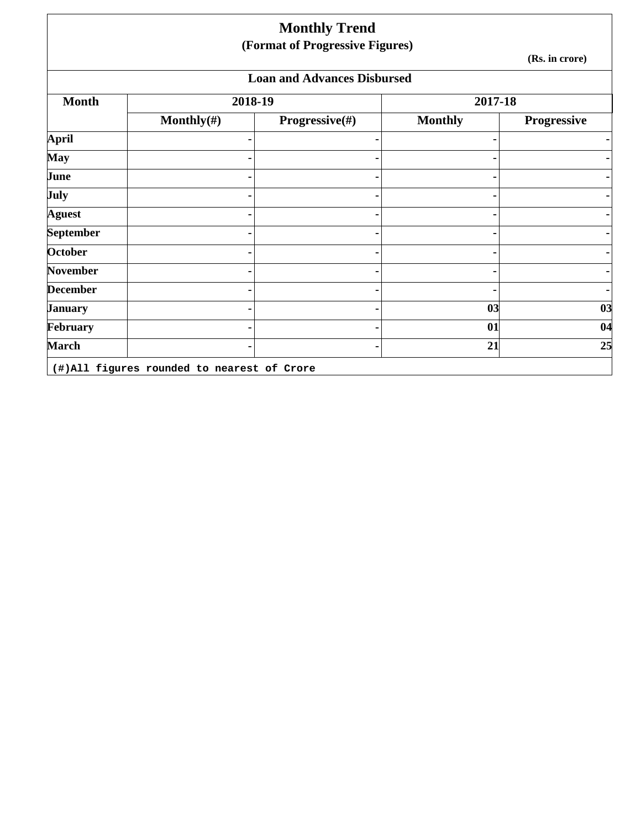|                 |                | <b>Monthly Trend</b><br>(Format of Progressive Figures) |                |                    |
|-----------------|----------------|---------------------------------------------------------|----------------|--------------------|
|                 |                |                                                         |                | (Rs. in crore)     |
|                 |                | <b>Loan and Advances Disbursed</b>                      |                |                    |
| <b>Month</b>    | 2018-19        |                                                         | 2017-18        |                    |
|                 | Monthly $(\#)$ | <b>Progressive</b> $(\#)$                               | <b>Monthly</b> | <b>Progressive</b> |
| April           |                |                                                         |                |                    |
| May             |                |                                                         |                |                    |
| June            |                |                                                         |                |                    |
| July            |                |                                                         |                |                    |
| <b>Aguest</b>   |                |                                                         |                |                    |
| September       |                |                                                         |                |                    |
| October         |                |                                                         |                |                    |
| <b>November</b> |                |                                                         |                |                    |
| <b>December</b> |                |                                                         |                |                    |
| <b>January</b>  |                |                                                         | 03             | 03                 |
| February        |                |                                                         | 01             | 04                 |
| <b>March</b>    |                |                                                         | 21             | 25                 |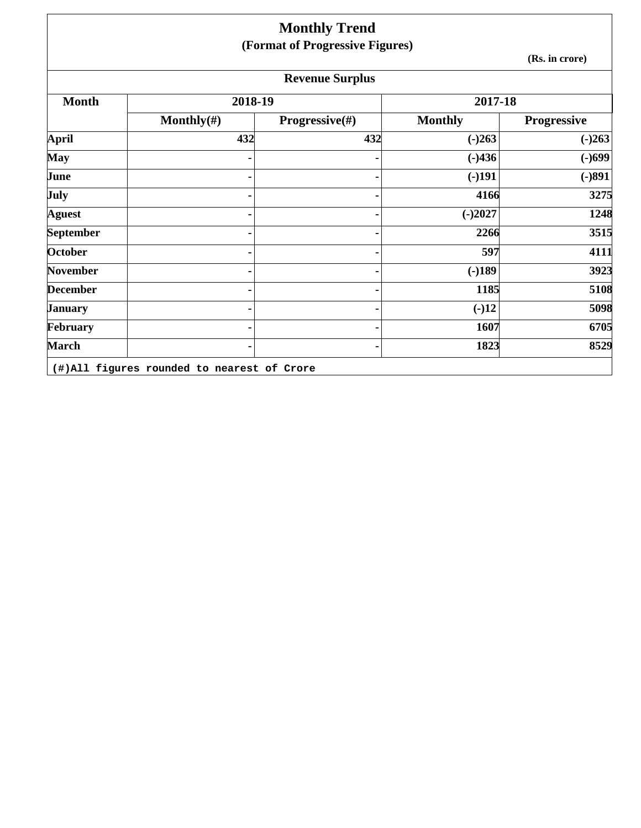|                  |                | <b>Monthly Trend</b>            |                |                    |
|------------------|----------------|---------------------------------|----------------|--------------------|
|                  |                | (Format of Progressive Figures) |                |                    |
|                  |                |                                 |                | (Rs. in crore)     |
|                  |                | <b>Revenue Surplus</b>          |                |                    |
| <b>Month</b>     | 2018-19        |                                 | 2017-18        |                    |
|                  | Monthly $(\#)$ | Progressive(#)                  | <b>Monthly</b> | <b>Progressive</b> |
| <b>April</b>     | 432            | 432                             | $(-)263$       | $(-)263$           |
| <b>May</b>       |                |                                 | $(-)436$       | $(-)699$           |
| June             |                |                                 | $(-)191$       | $(-)891$           |
| <b>July</b>      |                |                                 | 4166           | 3275               |
| <b>Aguest</b>    |                |                                 | $(-)2027$      | 1248               |
| <b>September</b> |                |                                 | 2266           | 3515               |
| October          |                |                                 | 597            | 4111               |
| November         |                |                                 | $(-)189$       | 3923               |
| <b>December</b>  |                |                                 | 1185           | 5108               |
| <b>January</b>   |                |                                 | $(-)12$        | 5098               |
| February         |                |                                 | 1607           | 6705               |
| <b>March</b>     |                |                                 | 1823           | 8529               |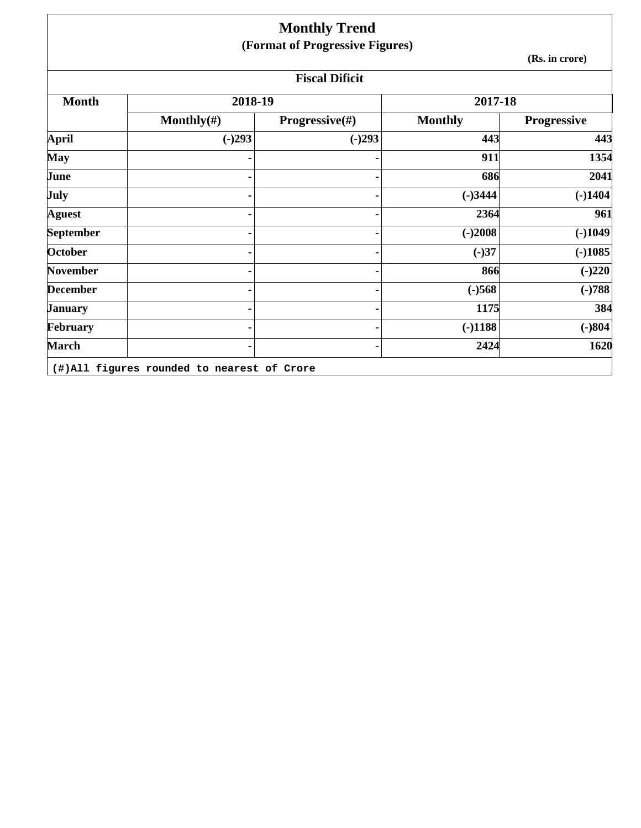|                 |                | <b>Monthly Trend</b>            |                |                    |  |
|-----------------|----------------|---------------------------------|----------------|--------------------|--|
|                 |                | (Format of Progressive Figures) |                |                    |  |
|                 | (Rs. in crore) |                                 |                |                    |  |
|                 |                | <b>Fiscal Dificit</b>           |                |                    |  |
| <b>Month</b>    | 2018-19        |                                 | 2017-18        |                    |  |
|                 | Monthly $(\#)$ | Progressive(#)                  | <b>Monthly</b> | <b>Progressive</b> |  |
| <b>April</b>    | $(-)293$       | $(-)293$                        | 443            | 443                |  |
| <b>May</b>      |                |                                 | 911            | 1354               |  |
| June            |                |                                 | 686            | 2041               |  |
| <b>July</b>     |                |                                 | $(-)3444$      | $(-)1404$          |  |
| <b>Aguest</b>   |                |                                 | 2364           | 961                |  |
| September       |                |                                 | $(-)2008$      | $(-)1049$          |  |
| October         |                |                                 | $(-)37$        | $(-)1085$          |  |
| <b>November</b> |                |                                 | 866            | $(-)220$           |  |
| <b>December</b> |                |                                 | $(-)568$       | $(-)788$           |  |
| <b>January</b>  |                |                                 | 1175           | 384                |  |
| February        |                |                                 | $(-)1188$      | $(-)804$           |  |
| <b>March</b>    |                |                                 | 2424           | 1620               |  |